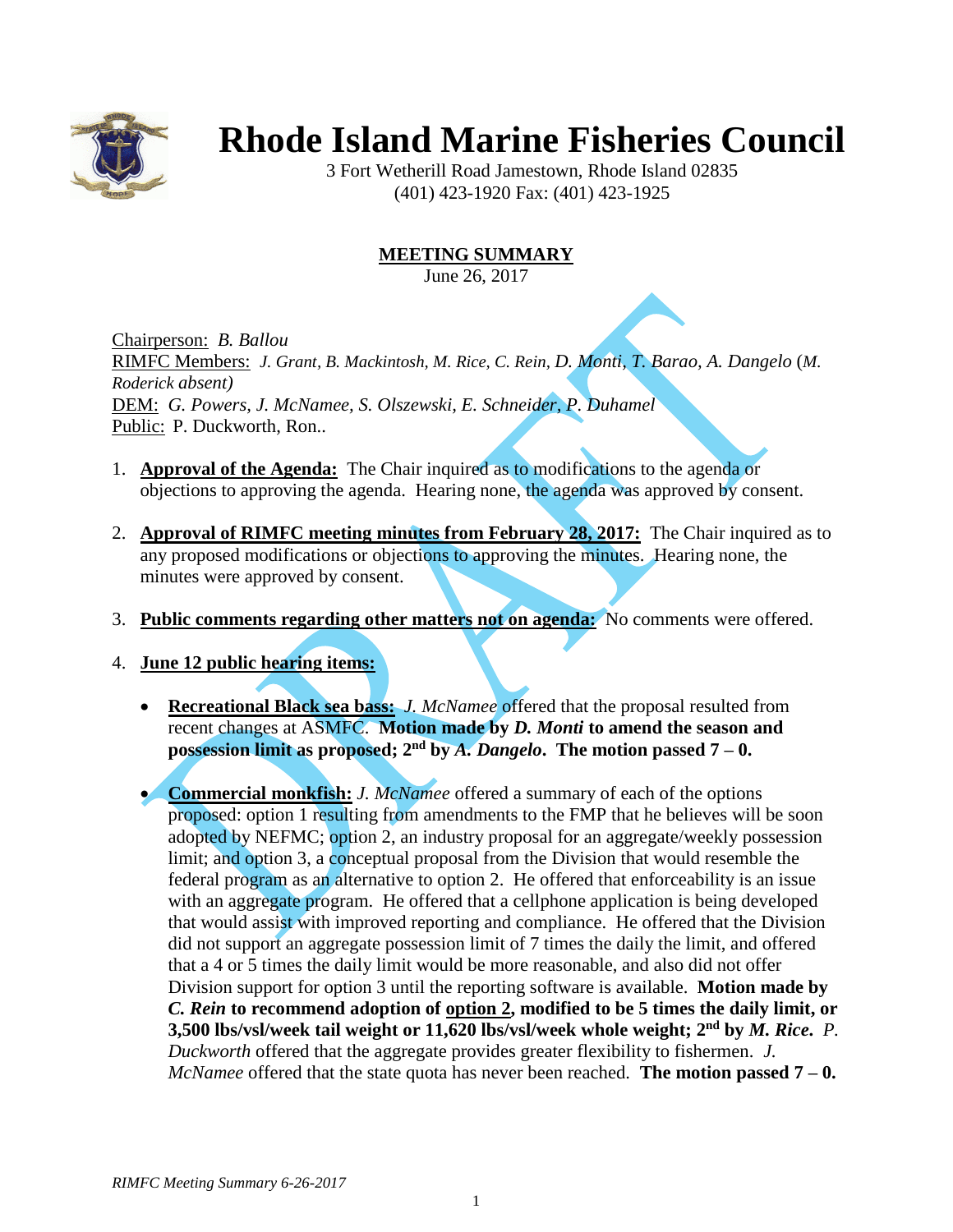

## **Rhode Island Marine Fisheries Council**

3 Fort Wetherill Road Jamestown, Rhode Island 02835 (401) 423-1920 Fax: (401) 423-1925

## **MEETING SUMMARY**

June 26, 2017

Chairperson: *B. Ballou* RIMFC Members: *J. Grant, B. Mackintosh, M. Rice, C. Rein, D. Monti, T. Barao, A. Dangelo* (*M. Roderick absent)* DEM: *G. Powers, J. McNamee, S. Olszewski, E. Schneider, P. Duhamel* Public: P. Duckworth, Ron..

- 1. **Approval of the Agenda:** The Chair inquired as to modifications to the agenda or objections to approving the agenda. Hearing none, the agenda was approved by consent.
- 2. **Approval of RIMFC meeting minutes from February 28, 2017:** The Chair inquired as to any proposed modifications or objections to approving the minutes. Hearing none, the minutes were approved by consent.
- 3. **Public comments regarding other matters not on agenda:** No comments were offered.
- 4. **June 12 public hearing items:**
	- **Recreational Black sea bass:** *J. McNamee* offered that the proposal resulted from recent changes at ASMFC. **Motion made by** *D. Monti* **to amend the season and possession limit as proposed;**  $2^{nd}$  **by** *A. Dangelo*. The motion passed  $7 - 0$ .
	- **Commercial monkfish:** *J. McNamee* offered a summary of each of the options proposed: option 1 resulting from amendments to the FMP that he believes will be soon adopted by NEFMC; option 2, an industry proposal for an aggregate/weekly possession limit; and option 3, a conceptual proposal from the Division that would resemble the federal program as an alternative to option 2. He offered that enforceability is an issue with an aggregate program. He offered that a cellphone application is being developed that would assist with improved reporting and compliance. He offered that the Division did not support an aggregate possession limit of 7 times the daily the limit, and offered that a 4 or 5 times the daily limit would be more reasonable, and also did not offer Division support for option 3 until the reporting software is available. **Motion made by**  *C. Rein* **to recommend adoption of option 2, modified to be 5 times the daily limit, or 3,500 lbs/vsl/week tail weight or 11,620 lbs/vsl/week whole weight; 2 nd by** *M. Rice***.** *P. Duckworth* offered that the aggregate provides greater flexibility to fishermen. *J. McNamee* offered that the state quota has never been reached. **The motion passed 7 – 0.**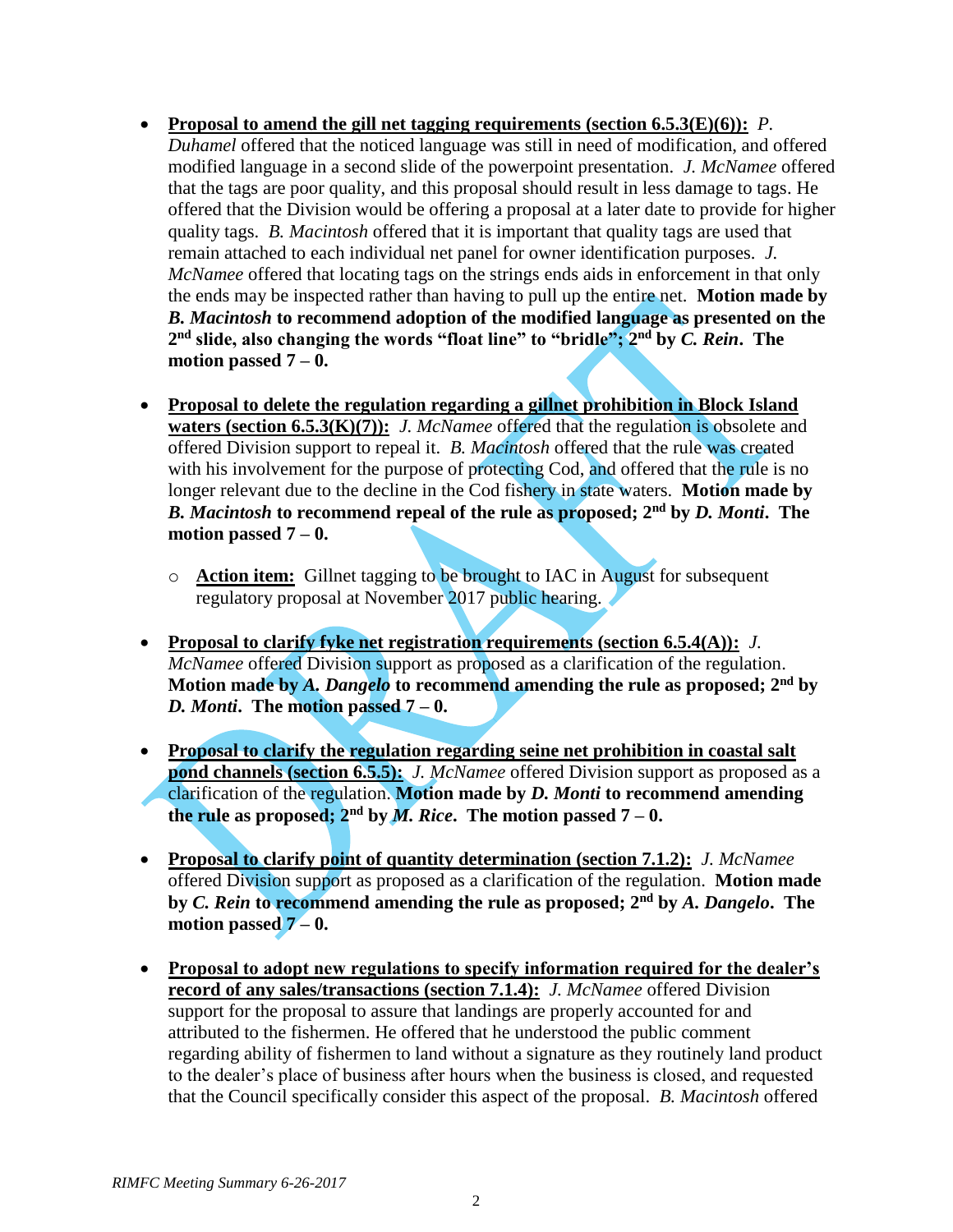- **Proposal to amend the gill net tagging requirements (section 6.5.3(E)(6)):** *P. Duhamel* offered that the noticed language was still in need of modification, and offered modified language in a second slide of the powerpoint presentation. *J. McNamee* offered that the tags are poor quality, and this proposal should result in less damage to tags. He offered that the Division would be offering a proposal at a later date to provide for higher quality tags. *B. Macintosh* offered that it is important that quality tags are used that remain attached to each individual net panel for owner identification purposes. *J. McNamee* offered that locating tags on the strings ends aids in enforcement in that only the ends may be inspected rather than having to pull up the entire net. **Motion made by**  *B. Macintosh* **to recommend adoption of the modified language as presented on the 2 nd slide, also changing the words "float line" to "bridle"; 2 nd by** *C. Rein***. The motion passed 7 – 0.**
- **Proposal to delete the regulation regarding a gillnet prohibition in Block Island waters (section 6.5.3(K)(7)):** *J. McNamee* offered that the regulation is obsolete and offered Division support to repeal it. *B. Macintosh* offered that the rule was created with his involvement for the purpose of protecting Cod, and offered that the rule is no longer relevant due to the decline in the Cod fishery in state waters. **Motion made by**  *B. Macintosh* **to recommend repeal of the rule as proposed; 2nd by** *D. Monti***. The motion passed 7 – 0.**
	- o **Action item:** Gillnet tagging to be brought to IAC in August for subsequent regulatory proposal at November 2017 public hearing.
- **Proposal to clarify fyke net registration requirements (section 6.5.4(A)):** *J. McNamee* offered Division support as proposed as a clarification of the regulation. **Motion made by** *A. Dangelo* **to recommend amending the rule as proposed; 2nd by**  *D. Monti***. The motion passed 7 – 0.**
- **Proposal to clarify the regulation regarding seine net prohibition in coastal salt pond channels (section 6.5.5):** *J. McNamee* offered Division support as proposed as a clarification of the regulation. **Motion made by** *D. Monti* **to recommend amending the rule as proposed; 2<sup>nd</sup> by** *M. Rice***. The motion passed**  $7 - 0$ **.**
- **Proposal to clarify point of quantity determination (section 7.1.2):** *J. McNamee* offered Division support as proposed as a clarification of the regulation. **Motion made by** *C. Rein* **to recommend amending the rule as proposed; 2 nd by** *A. Dangelo***. The motion passed 7 – 0.**
- **Proposal to adopt new regulations to specify information required for the dealer's record of any sales/transactions (section 7.1.4):** *J. McNamee* offered Division support for the proposal to assure that landings are properly accounted for and attributed to the fishermen. He offered that he understood the public comment regarding ability of fishermen to land without a signature as they routinely land product to the dealer's place of business after hours when the business is closed, and requested that the Council specifically consider this aspect of the proposal. *B. Macintosh* offered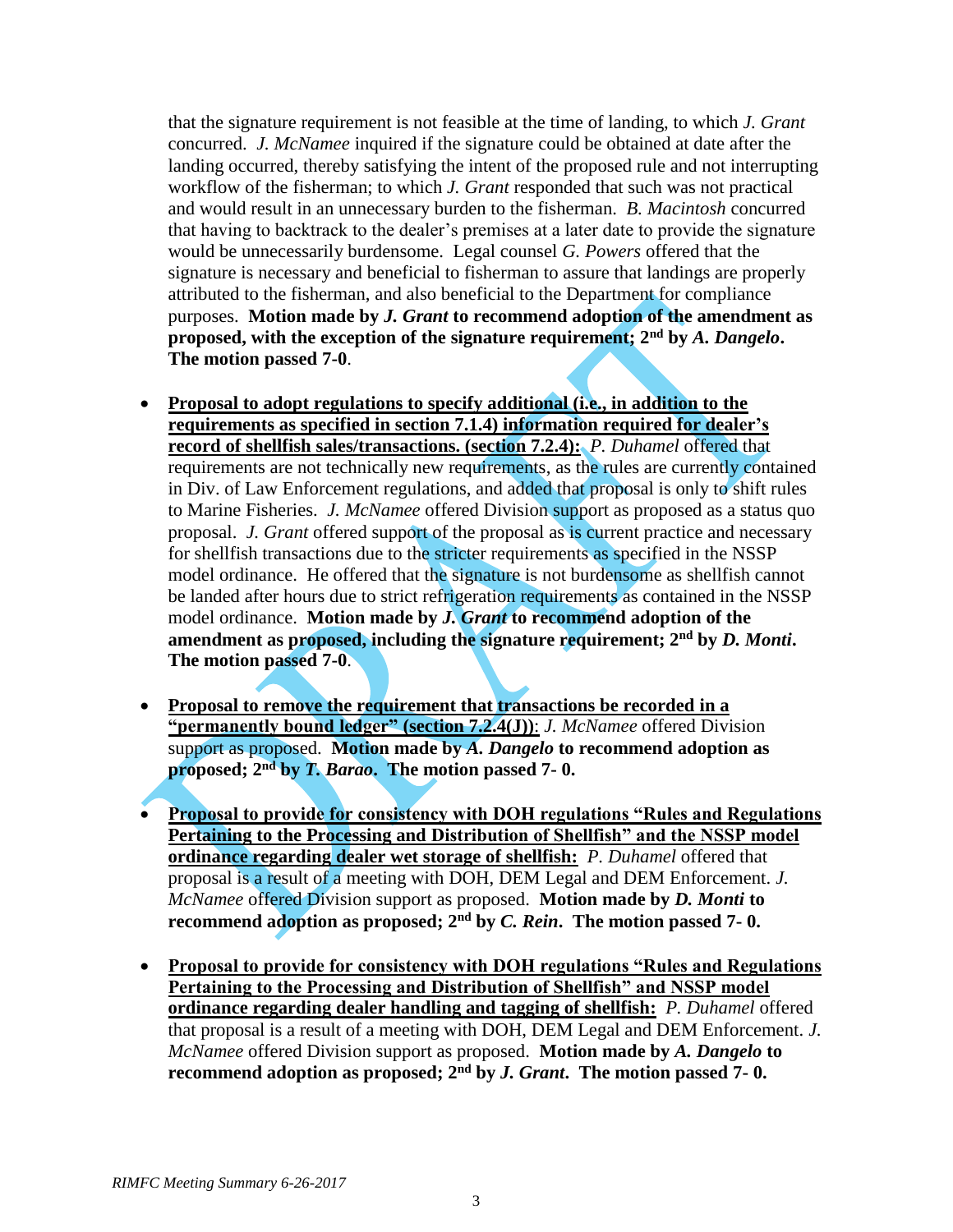that the signature requirement is not feasible at the time of landing, to which *J. Grant* concurred. *J. McNamee* inquired if the signature could be obtained at date after the landing occurred, thereby satisfying the intent of the proposed rule and not interrupting workflow of the fisherman; to which *J. Grant* responded that such was not practical and would result in an unnecessary burden to the fisherman. *B. Macintosh* concurred that having to backtrack to the dealer's premises at a later date to provide the signature would be unnecessarily burdensome. Legal counsel *G. Powers* offered that the signature is necessary and beneficial to fisherman to assure that landings are properly attributed to the fisherman, and also beneficial to the Department for compliance purposes. **Motion made by** *J. Grant* **to recommend adoption of the amendment as proposed, with the exception of the signature requirement; 2nd by** *A. Dangelo***. The motion passed 7-0**.

- **Proposal to adopt regulations to specify additional (i.e., in addition to the requirements as specified in section 7.1.4) information required for dealer's record of shellfish sales/transactions. (section 7.2.4):** *P. Duhamel* offered that requirements are not technically new requirements, as the rules are currently contained in Div. of Law Enforcement regulations, and added that proposal is only to shift rules to Marine Fisheries. *J. McNamee* offered Division support as proposed as a status quo proposal. *J. Grant* offered support of the proposal as is current practice and necessary for shellfish transactions due to the stricter requirements as specified in the NSSP model ordinance. He offered that the signature is not burdensome as shellfish cannot be landed after hours due to strict refrigeration requirements as contained in the NSSP model ordinance. **Motion made by** *J. Grant* **to recommend adoption of the amendment as proposed, including the signature requirement; 2nd by** *D. Monti***. The motion passed 7-0**.
- **Proposal to remove the requirement that transactions be recorded in a "permanently bound ledger" (section 7.2.4(J))**: *J. McNamee* offered Division support as proposed. **Motion made by** *A. Dangelo* **to recommend adoption as proposed; 2nd by** *T. Barao***. The motion passed 7- 0.**
- **Proposal to provide for consistency with DOH regulations "Rules and Regulations Pertaining to the Processing and Distribution of Shellfish" and the NSSP model ordinance regarding dealer wet storage of shellfish:** *P. Duhamel* offered that proposal is a result of a meeting with DOH, DEM Legal and DEM Enforcement. *J. McNamee* offered Division support as proposed. **Motion made by** *D. Monti* **to recommend adoption as proposed; 2nd by** *C. Rein***. The motion passed 7- 0.**
- **Proposal to provide for consistency with DOH regulations "Rules and Regulations Pertaining to the Processing and Distribution of Shellfish" and NSSP model ordinance regarding dealer handling and tagging of shellfish:** *P. Duhamel* offered that proposal is a result of a meeting with DOH, DEM Legal and DEM Enforcement. *J. McNamee* offered Division support as proposed. **Motion made by** *A. Dangelo* **to recommend adoption as proposed; 2nd by** *J. Grant***. The motion passed 7- 0.**